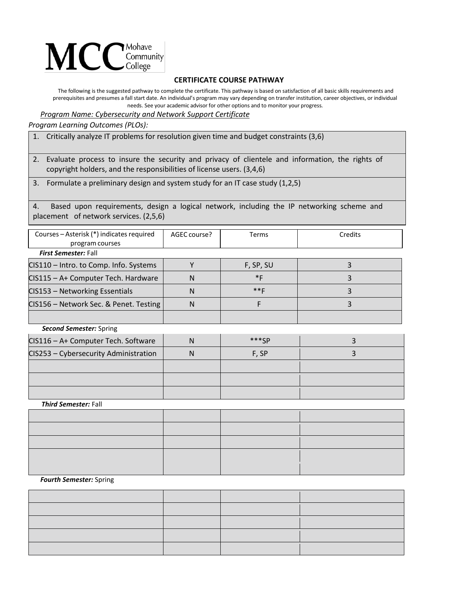## $\mathbf{MCC}_{\text{Complex}}^{\text{Monawel}}$

## **CERTIFICATE COURSE PATHWAY**

The following is the suggested pathway to complete the certificate. This pathway is based on satisfaction of all basic skills requirements and prerequisites and presumes a fall start date. An individual's program may vary depending on transfer institution, career objectives, or individual needs. See your academic advisor for other options and to monitor your progress.

*Program Name: Cybersecurity and Network Support Certificate*

*Program Learning Outcomes (PLOs):*

1. Critically analyze IT problems for resolution given time and budget constraints (3,6)

2. Evaluate process to insure the security and privacy of clientele and information, the rights of copyright holders, and the responsibilities of license users. (3,4,6)

3. Formulate a preliminary design and system study for an IT case study (1,2,5)

4. Based upon requirements, design a logical network, including the IP networking scheme and placement of network services. (2,5,6)

| Courses – Asterisk (*) indicates required                                | AGEC course? | Terms       | Credits |
|--------------------------------------------------------------------------|--------------|-------------|---------|
| program courses                                                          |              |             |         |
| <b>First Semester: Fall</b>                                              |              |             |         |
| CIS110 - Intro. to Comp. Info. Systems                                   |              | F, SP, SU   |         |
| CIS115 - A+ Computer Tech. Hardware                                      | N            | $*F$        | 3       |
| CIS153 - Networking Essentials                                           | N            | $***F$      |         |
| CIS156 - Network Sec. & Penet. Testing                                   | N            |             |         |
|                                                                          |              |             |         |
| <b>Second Semester: Spring</b>                                           |              |             |         |
| $CCAAC = A \cdot C \cdot \cdots \cdot A \cdot T \cdot A \cdot C \cdot C$ | $\mathbf{A}$ | $+ + + - -$ |         |

| CIS116 - A+ Computer Tech. Software   |   | $***CD$ |  |
|---------------------------------------|---|---------|--|
| CIS253 - Cybersecurity Administration | N | F, SP   |  |
|                                       |   |         |  |
|                                       |   |         |  |
|                                       |   |         |  |

*Third Semester:* Fall

| the contract of the contract of the contract of the contract of the contract of |  |  |
|---------------------------------------------------------------------------------|--|--|
|                                                                                 |  |  |
|                                                                                 |  |  |
|                                                                                 |  |  |

## *Fourth Semester:* Spring